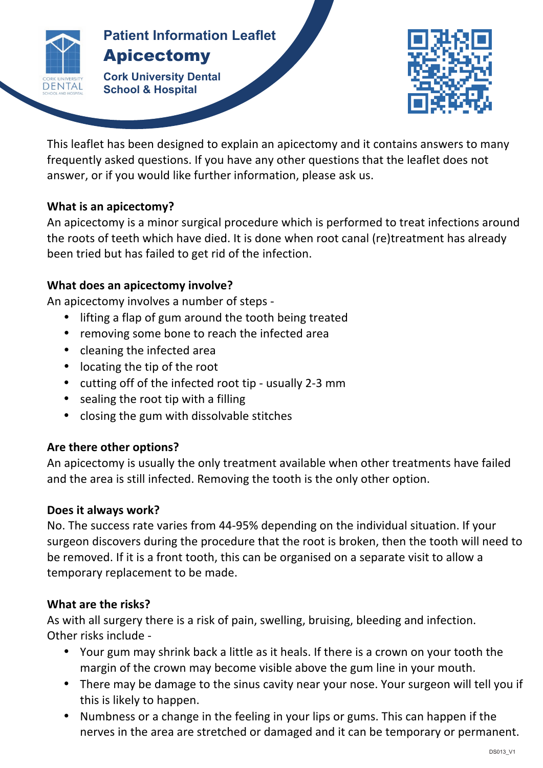

#### **Patients Patient Information Leaflet** Apicectomy

**Cork University Dental School & Hospital**



This leaflet has been designed to explain an apicectomy and it contains answers to many frequently asked questions. If you have any other questions that the leaflet does not answer, or if you would like further information, please ask us.

**APICECTOMY**

### **What is an apicectomy?**

An apicectomy is a minor surgical procedure which is performed to treat infections around the roots of teeth which have died. It is done when root canal (re)treatment has already been tried but has failed to get rid of the infection.

### **What does an apicectomy involve?**

An apicectomy involves a number of steps -

- lifting a flap of gum around the tooth being treated
- removing some bone to reach the infected area
- cleaning the infected area
- $\bullet$  locating the tip of the root
- cutting off of the infected root tip usually 2-3 mm
- sealing the root tip with a filling
- closing the gum with dissolvable stitches

# Are there other options?

An apicectomy is usually the only treatment available when other treatments have failed and the area is still infected. Removing the tooth is the only other option.

# **Does it always work?**

No. The success rate varies from 44-95% depending on the individual situation. If your surgeon discovers during the procedure that the root is broken, then the tooth will need to be removed. If it is a front tooth, this can be organised on a separate visit to allow a temporary replacement to be made.

# **What are the risks?**

As with all surgery there is a risk of pain, swelling, bruising, bleeding and infection. Other risks include -

- Your gum may shrink back a little as it heals. If there is a crown on your tooth the margin of the crown may become visible above the gum line in your mouth.
- There may be damage to the sinus cavity near your nose. Your surgeon will tell you if this is likely to happen.
- Numbness or a change in the feeling in your lips or gums. This can happen if the nerves in the area are stretched or damaged and it can be temporary or permanent.